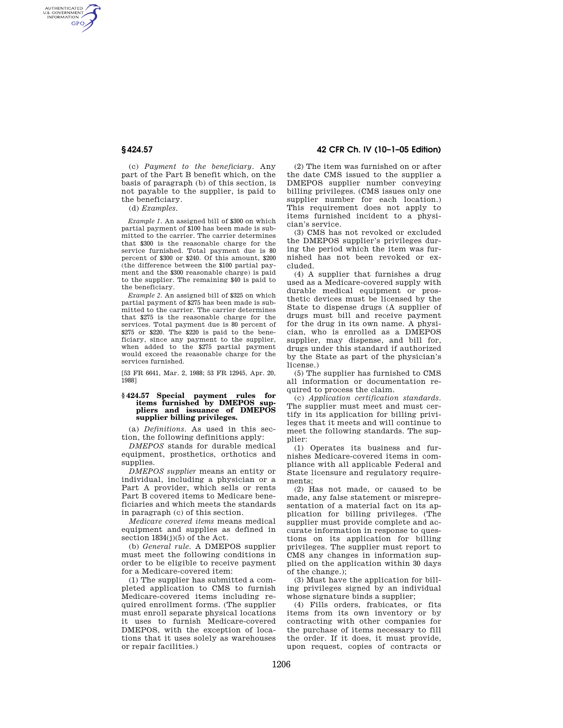AUTHENTICATED<br>U.S. GOVERNMENT<br>INFORMATION **GPO** 

> (c) *Payment to the beneficiary.* Any part of the Part B benefit which, on the basis of paragraph (b) of this section, is not payable to the supplier, is paid to the beneficiary.

(d) *Examples.* 

*Example 1.* An assigned bill of \$300 on which partial payment of \$100 has been made is submitted to the carrier. The carrier determines that \$300 is the reasonable charge for the service furnished. Total payment due is 80 percent of \$300 or \$240. Of this amount, \$200 (the difference between the \$100 partial payment and the \$300 reasonable charge) is paid to the supplier. The remaining \$40 is paid to the beneficiary.

*Example 2.* An assigned bill of \$325 on which partial payment of \$275 has been made is submitted to the carrier. The carrier determines that \$275 is the reasonable charge for the services. Total payment due is 80 percent of \$275 or \$220. The \$220 is paid to the beneficiary, since any payment to the supplier, when added to the \$275 partial payment would exceed the reasonable charge for the services furnished.

[53 FR 6641, Mar. 2, 1988; 53 FR 12945, Apr. 20, 1988]

#### **§ 424.57 Special payment rules for items furnished by DMEPOS suppliers and issuance of DMEPOS supplier billing privileges.**

(a) *Definitions.* As used in this section, the following definitions apply:

*DMEPOS* stands for durable medical equipment, prosthetics, orthotics and supplies.

*DMEPOS supplier* means an entity or individual, including a physician or a Part A provider, which sells or rents Part B covered items to Medicare beneficiaries and which meets the standards in paragraph (c) of this section.

*Medicare covered items* means medical equipment and supplies as defined in section  $1834(j)(5)$  of the Act.

(b) *General rule.* A DMEPOS supplier must meet the following conditions in order to be eligible to receive payment for a Medicare-covered item:

(1) The supplier has submitted a completed application to CMS to furnish Medicare-covered items including required enrollment forms. (The supplier must enroll separate physical locations it uses to furnish Medicare-covered DMEPOS, with the exception of locations that it uses solely as warehouses or repair facilities.)

## **§ 424.57 42 CFR Ch. IV (10–1–05 Edition)**

(2) The item was furnished on or after the date CMS issued to the supplier a DMEPOS supplier number conveying billing privileges. (CMS issues only one supplier number for each location.) This requirement does not apply to items furnished incident to a physician's service.

(3) CMS has not revoked or excluded the DMEPOS supplier's privileges during the period which the item was furnished has not been revoked or excluded.

(4) A supplier that furnishes a drug used as a Medicare-covered supply with durable medical equipment or prosthetic devices must be licensed by the State to dispense drugs (A supplier of drugs must bill and receive payment for the drug in its own name. A physician, who is enrolled as a DMEPOS supplier, may dispense, and bill for, drugs under this standard if authorized by the State as part of the physician's license.)

(5) The supplier has furnished to CMS all information or documentation required to process the claim.

(c) *Application certification standards.*  The supplier must meet and must certify in its application for billing privileges that it meets and will continue to meet the following standards. The supplier:

(1) Operates its business and furnishes Medicare-covered items in compliance with all applicable Federal and State licensure and regulatory requirements;

(2) Has not made, or caused to be made, any false statement or misrepresentation of a material fact on its application for billing privileges. (The supplier must provide complete and accurate information in response to questions on its application for billing privileges. The supplier must report to CMS any changes in information supplied on the application within 30 days of the change.);

(3) Must have the application for billing privileges signed by an individual whose signature binds a supplier;

(4) Fills orders, frabicates, or fits items from its own inventory or by contracting with other companies for the purchase of items necessary to fill the order. If it does, it must provide, upon request, copies of contracts or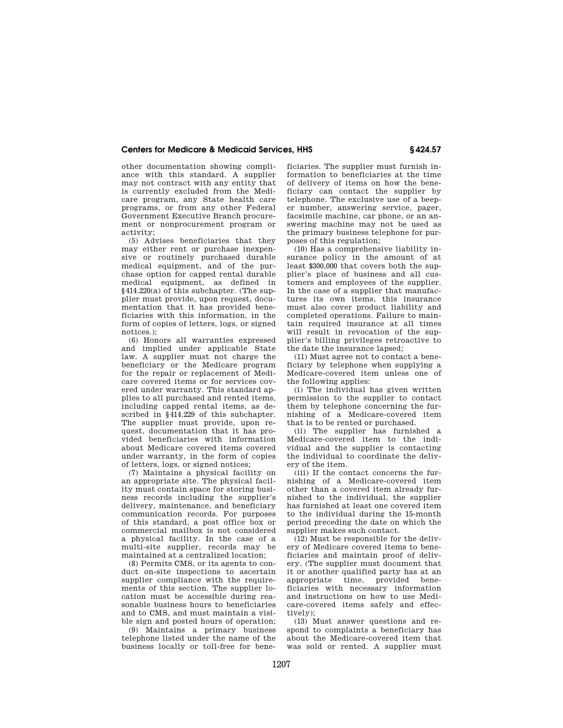## **Centers for Medicare & Medicaid Services, HHS § 424.57**

other documentation showing compliance with this standard. A supplier may not contract with any entity that is currently excluded from the Medicare program, any State health care programs, or from any other Federal Government Executive Branch procurement or nonprocurement program or activity;

(5) Advises beneficiaries that they may either rent or purchase inexpensive or routinely purchased durable medical equipment, and of the purchase option for capped rental durable medical equipment, as defined in §414.220(a) of this subchapter. (The supplier must provide, upon request, documentation that it has provided beneficiaries with this information, in the form of copies of letters, logs, or signed notices.);

(6) Honors all warranties expressed and implied under applicable State law. A supplier must not charge the beneficiary or the Medicare program for the repair or replacement of Medicare covered items or for services covered under warranty. This standard applies to all purchased and rented items, including capped rental items, as described in §414.229 of this subchapter. The supplier must provide, upon request, documentation that it has provided beneficiaries with information about Medicare covered items covered under warranty, in the form of copies of letters, logs, or signed notices;

(7) Maintains a physical facility on an appropriate site. The physical facility must contain space for storing business records including the supplier's delivery, maintenance, and beneficiary communication records. For purposes of this standard, a post office box or commercial mailbox is not considered a physical facility. In the case of a multi-site supplier, records may be maintained at a centralized location;

(8) Permits CMS, or its agents to conduct on-site inspections to ascertain supplier compliance with the requirements of this section. The supplier location must be accessible during reasonable business hours to beneficiaries and to CMS, and must maintain a visible sign and posted hours of operation;

(9) Maintains a primary business telephone listed under the name of the business locally or toll-free for beneficiaries. The supplier must furnish information to beneficiaries at the time of delivery of items on how the beneficiary can contact the supplier by telephone. The exclusive use of a beeper number, answering service, pager, facsimile machine, car phone, or an answering machine may not be used as the primary business telephone for purposes of this regulation;

(10) Has a comprehensive liability insurance policy in the amount of at least \$300,000 that covers both the supplier's place of business and all customers and employees of the supplier. In the case of a supplier that manufactures its own items, this insurance must also cover product liability and completed operations. Failure to maintain required insurance at all times will result in revocation of the supplier's billing privileges retroactive to the date the insurance lapsed;

(11) Must agree not to contact a beneficiary by telephone when supplying a Medicare-covered item unless one of the following applies:

(i) The individual has given written permission to the supplier to contact them by telephone concerning the furnishing of a Medicare-covered item that is to be rented or purchased.

(ii) The supplier has furnished a Medicare-covered item to the individual and the supplier is contacting the individual to coordinate the delivery of the item.

(iii) If the contact concerns the furnishing of a Medicare-covered item other than a covered item already furnished to the individual, the supplier has furnished at least one covered item to the individual during the 15-month period preceding the date on which the supplier makes such contact.

(12) Must be responsible for the delivery of Medicare covered items to beneficiaries and maintain proof of delivery. (The supplier must document that it or another qualified party has at an appropriate time, provided beneficiaries with necessary information and instructions on how to use Medicare-covered items safely and effectively);

(13) Must answer questions and respond to complaints a beneficiary has about the Medicare-covered item that was sold or rented. A supplier must